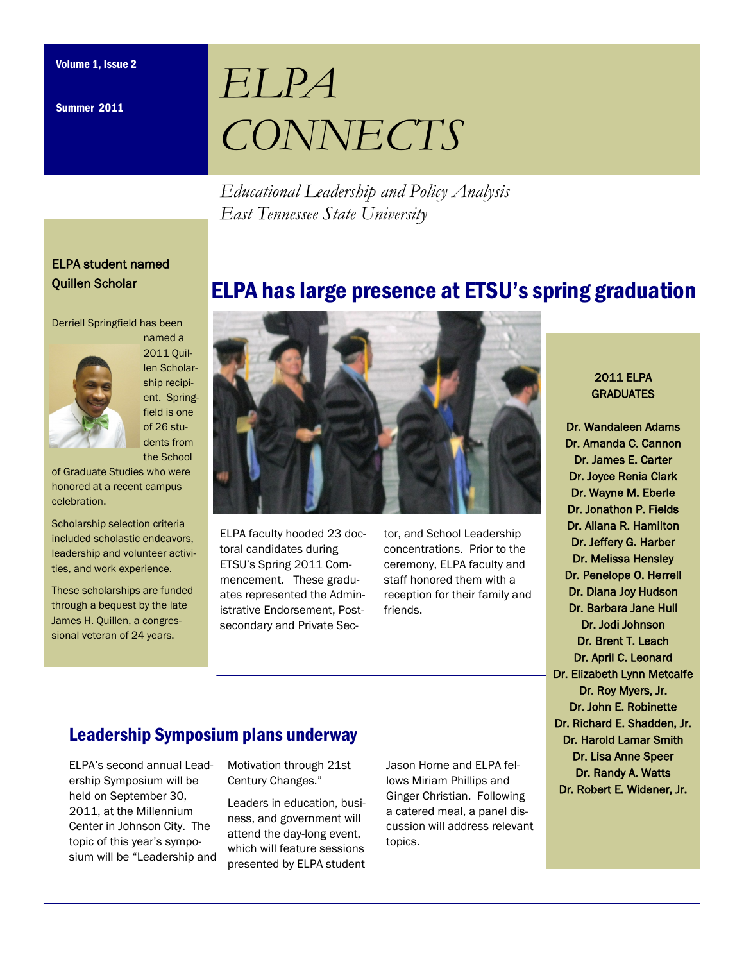Summer 2011

# *ELPA CONNECTS*

*Educational Leadership and Policy Analysis East Tennessee State University* 

## ELPA student named Quillen Scholar

Derriell Springfield has been



named a 2011 Quillen Scholarship recipient. Springfield is one of 26 students from the School

of Graduate Studies who were honored at a recent campus celebration.

Scholarship selection criteria included scholastic endeavors, leadership and volunteer activities, and work experience.

These scholarships are funded through a bequest by the late James H. Quillen, a congressional veteran of 24 years.



ELPA faculty hooded 23 doctoral candidates during ETSU's Spring 2011 Commencement. These graduates represented the Administrative Endorsement, Postsecondary and Private Sector, and School Leadership concentrations. Prior to the ceremony, ELPA faculty and staff honored them with a reception for their family and friends.

ELPA has large presence at ETSU's spring graduation

### 2011 ELPA **GRADUATES**

Dr. Wandaleen Adams Dr. Amanda C. Cannon Dr. James E. Carter Dr. Joyce Renia Clark Dr. Wayne M. Eberle Dr. Jonathon P. Fields Dr. Allana R. Hamilton Dr. Jeffery G. Harber Dr. Melissa Hensley Dr. Penelope O. Herrell Dr. Diana Joy Hudson Dr. Barbara Jane Hull Dr. Jodi Johnson Dr. Brent T. Leach Dr. April C. Leonard Dr. Elizabeth Lynn Metcalfe Dr. Roy Myers, Jr. Dr. John E. Robinette Dr. Richard E. Shadden, Jr. Dr. Harold Lamar Smith Dr. Lisa Anne Speer Dr. Randy A. Watts Dr. Robert E. Widener, Jr.

# Leadership Symposium plans underway

ELPA's second annual Leadership Symposium will be held on September 30, 2011, at the Millennium Center in Johnson City. The topic of this year's symposium will be "Leadership and Motivation through 21st Century Changes."

Leaders in education, business, and government will attend the day-long event, which will feature sessions presented by ELPA student

Jason Horne and ELPA fellows Miriam Phillips and Ginger Christian. Following a catered meal, a panel discussion will address relevant topics.